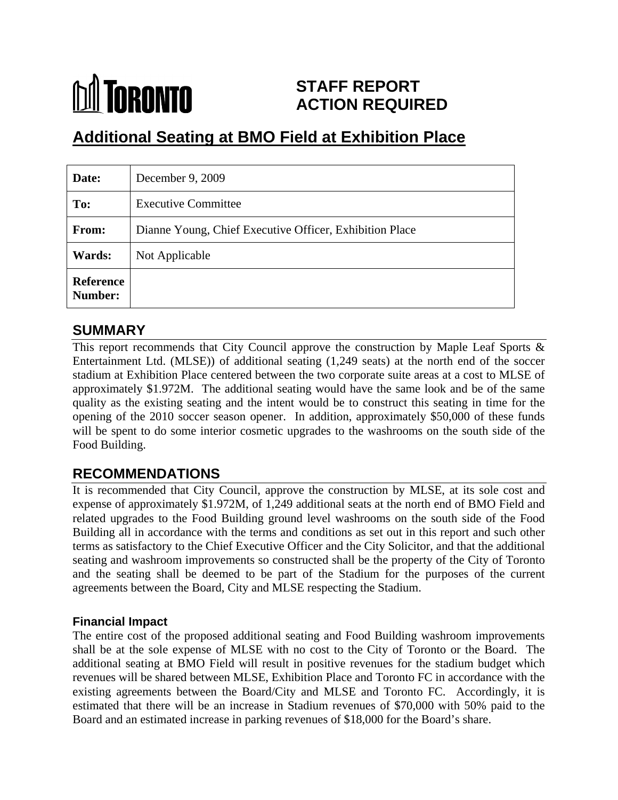## **M** TORONTO **STAFF REPORT ACTION REQUIRED**

# **Additional Seating at BMO Field at Exhibition Place**

| Date:                       | December $9, 2009$                                      |
|-----------------------------|---------------------------------------------------------|
| To:                         | <b>Executive Committee</b>                              |
| From:                       | Dianne Young, Chief Executive Officer, Exhibition Place |
| <b>Wards:</b>               | Not Applicable                                          |
| <b>Reference</b><br>Number: |                                                         |

### **SUMMARY**

This report recommends that City Council approve the construction by Maple Leaf Sports & Entertainment Ltd. (MLSE)) of additional seating (1,249 seats) at the north end of the soccer stadium at Exhibition Place centered between the two corporate suite areas at a cost to MLSE of approximately \$1.972M. The additional seating would have the same look and be of the same quality as the existing seating and the intent would be to construct this seating in time for the opening of the 2010 soccer season opener. In addition, approximately \$50,000 of these funds will be spent to do some interior cosmetic upgrades to the washrooms on the south side of the Food Building.

## **RECOMMENDATIONS**

It is recommended that City Council, approve the construction by MLSE, at its sole cost and expense of approximately \$1.972M, of 1,249 additional seats at the north end of BMO Field and related upgrades to the Food Building ground level washrooms on the south side of the Food Building all in accordance with the terms and conditions as set out in this report and such other terms as satisfactory to the Chief Executive Officer and the City Solicitor, and that the additional seating and washroom improvements so constructed shall be the property of the City of Toronto and the seating shall be deemed to be part of the Stadium for the purposes of the current agreements between the Board, City and MLSE respecting the Stadium.

#### **Financial Impact**

The entire cost of the proposed additional seating and Food Building washroom improvements shall be at the sole expense of MLSE with no cost to the City of Toronto or the Board. The additional seating at BMO Field will result in positive revenues for the stadium budget which revenues will be shared between MLSE, Exhibition Place and Toronto FC in accordance with the existing agreements between the Board/City and MLSE and Toronto FC. Accordingly, it is estimated that there will be an increase in Stadium revenues of \$70,000 with 50% paid to the Board and an estimated increase in parking revenues of \$18,000 for the Board's share.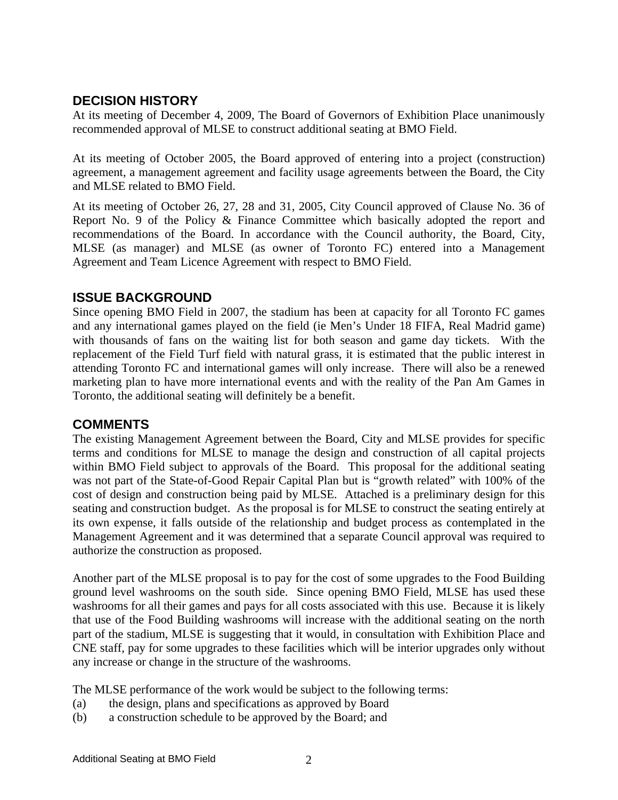#### **DECISION HISTORY**

At its meeting of December 4, 2009, The Board of Governors of Exhibition Place unanimously recommended approval of MLSE to construct additional seating at BMO Field.

At its meeting of October 2005, the Board approved of entering into a project (construction) agreement, a management agreement and facility usage agreements between the Board, the City and MLSE related to BMO Field.<br>At its meeting of October 26, 27, 28 and 31, 2005, City Council approved of Clause No. 36 of

Report No. 9 of the Policy  $\&$  Finance Committee which basically adopted the report and recommendations of the Board. In accordance with the Council authority, the Board, City, MLSE (as manager) and MLSE (as owner of Toronto FC) entered into a Management Agreement and Team Licence Agreement with respect to BMO Field.

#### **ISSUE BACKGROUND**

Since opening BMO Field in 2007, the stadium has been at capacity for all Toronto FC games and any international games played on the field (ie Men's Under 18 FIFA, Real Madrid game) with thousands of fans on the waiting list for both season and game day tickets. With the replacement of the Field Turf field with natural grass, it is estimated that the public interest in attending Toronto FC and international games will only increase. There will also be a renewed marketing plan to have more international events and with the reality of the Pan Am Games in Toronto, the additional seating will definitely be a benefit.

#### **COMMENTS**

The existing Management Agreement between the Board, City and MLSE provides for specific terms and conditions for MLSE to manage the design and construction of all capital projects within BMO Field subject to approvals of the Board. This proposal for the additional seating was not part of the State-of-Good Repair Capital Plan but is "growth related" with 100% of the cost of design and construction being paid by MLSE. Attached is a preliminary design for this seating and construction budget. As the proposal is for MLSE to construct the seating entirely at its own expense, it falls outside of the relationship and budget process as contemplated in the Management Agreement and it was determined that a separate Council approval was required to authorize the construction as proposed.

Another part of the MLSE proposal is to pay for the cost of some upgrades to the Food Building ground level washrooms on the south side. Since opening BMO Field, MLSE has used these washrooms for all their games and pays for all costs associated with this use. Because it is likely that use of the Food Building washrooms will increase with the additional seating on the north part of the stadium, MLSE is suggesting that it would, in consultation with Exhibition Place and CNE staff, pay for some upgrades to these facilities which will be interior upgrades only without any increase or change in the structure of the washrooms.

The MLSE performance of the work would be subject to the following terms:

- (a) the design, plans and specifications as approved by Board
- (b) a construction schedule to be approved by the Board; and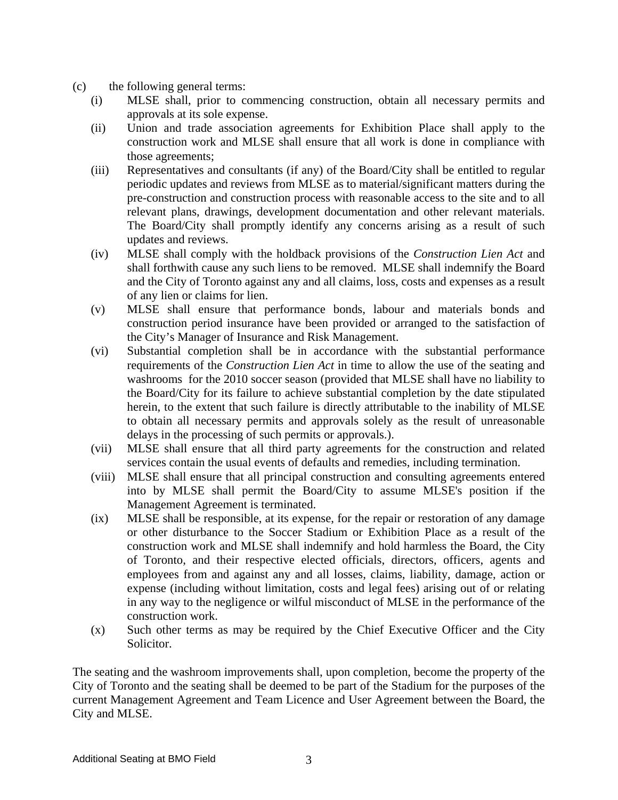- (c) the following general terms:
	- (i) MLSE shall, prior to commencing construction, obtain all necessary permits and approvals at its sole expense.
	- (ii) Union and trade association agreements for Exhibition Place shall apply to the construction work and MLSE shall ensure that all work is done in compliance with those agreements;
	- (iii) Representatives and consultants (if any) of the Board/City shall be entitled to regular periodic updates and reviews from MLSE as to material/significant matters during the pre-construction and construction process with reasonable access to the site and to all relevant plans, drawings, development documentation and other relevant materials. The Board/City shall promptly identify any concerns arising as a result of such updates and reviews.
	- (iv) MLSE shall comply with the holdback provisions of the *Construction Lien Act* and shall forthwith cause any such liens to be removed. MLSE shall indemnify the Board and the City of Toronto against any and all claims, loss, costs and expenses as a result of any lien or claims for lien.
	- (v) MLSE shall ensure that performance bonds, labour and materials bonds and construction period insurance have been provided or arranged to the satisfaction of the City's Manager of Insurance and Risk Management.
	- (vi) Substantial completion shall be in accordance with the substantial performance requirements of the *Construction Lien Act* in time to allow the use of the seating and washrooms for the 2010 soccer season (provided that MLSE shall have no liability to the Board/City for its failure to achieve substantial completion by the date stipulated herein, to the extent that such failure is directly attributable to the inability of MLSE to obtain all necessary permits and approvals solely as the result of unreasonable delays in the processing of such permits or approvals.).
	- (vii) MLSE shall ensure that all third party agreements for the construction and related services contain the usual events of defaults and remedies, including termination.
	- (viii) MLSE shall ensure that all principal construction and consulting agreements entered into by MLSE shall permit the Board/City to assume MLSE's position if the Management Agreement is terminated.
	- (ix) MLSE shall be responsible, at its expense, for the repair or restoration of any damage or other disturbance to the Soccer Stadium or Exhibition Place as a result of the construction work and MLSE shall indemnify and hold harmless the Board, the City of Toronto, and their respective elected officials, directors, officers, agents and employees from and against any and all losses, claims, liability, damage, action or expense (including without limitation, costs and legal fees) arising out of or relating in any way to the negligence or wilful misconduct of MLSE in the performance of the construction work.<br>
	(x) Such other terms as may be required by the Chief Executive Officer and the City
	- Solicitor.

The seating and the washroom improvements shall, upon completion, become the property of the City of Toronto and the seating shall be deemed to be part of the Stadium for the purposes of the current Management Agreement and Team Licence and User Agreement between the Board, the City and MLSE.